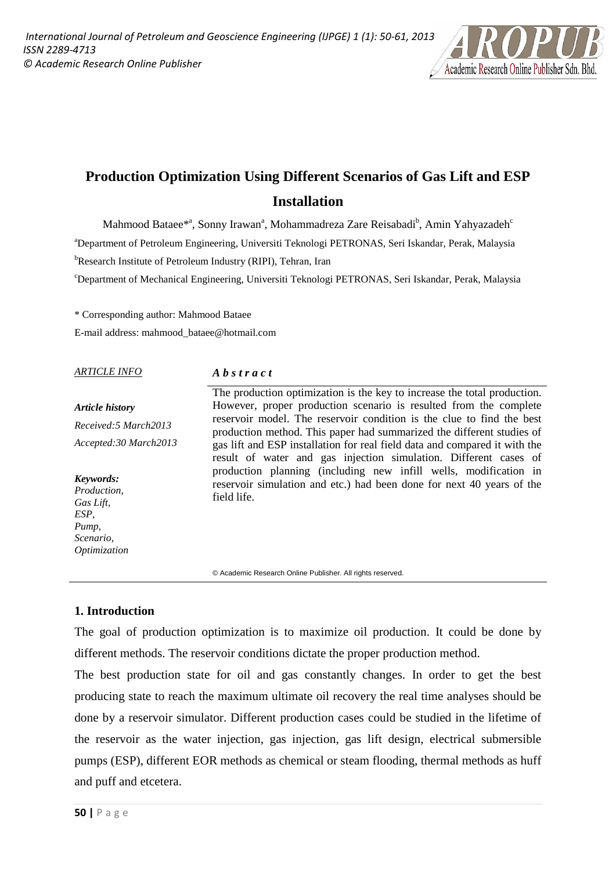

# **Production Optimization Using Different Scenarios of Gas Lift and ESP Installation**

Mahmood Bataee $^{*a}$ , Sonny Irawan $^{a}$ , Mohammadreza Zare Reisabadi $^{b}$ , Amin Yahyazadeh $^{c}$ a Department of Petroleum Engineering, Universiti Teknologi PETRONAS, Seri Iskandar, Perak, Malaysia <sup>b</sup>Research Institute of Petroleum Industry (RIPI), Tehran, Iran

c Department of Mechanical Engineering, Universiti Teknologi PETRONAS, Seri Iskandar, Perak, Malaysia

\* Corresponding author: Mahmood Bataee E-mail address: mahmood\_bataee@hotmail.com

#### *ARTICLE INFO*

#### *A b s t r a c t*

*Article history Received:5 March2013 Accepted:30 March2013* The production optimization is the key to increase the total production. However, proper production scenario is resulted from the complete reservoir model. The reservoir condition is the clue to find the best production method. This paper had summarized the different studies of gas lift and ESP installation for real field data and compared it with the result of water and gas injection simulation. Different cases of production planning (including new infill wells, modification in reservoir simulation and etc.) had been done for next 40 years of the field life. *Keywords: Production, Gas Lift,* 

© Academic Research Online Publisher. All rights reserved.

## **1. Introduction**

*ESP, Pump, Scenario, Optimization* 

The goal of production optimization is to maximize oil production. It could be done by different methods. The reservoir conditions dictate the proper production method.

The best production state for oil and gas constantly changes. In order to get the best producing state to reach the maximum ultimate oil recovery the real time analyses should be done by a reservoir simulator. Different production cases could be studied in the lifetime of the reservoir as the water injection, gas injection, gas lift design, electrical submersible pumps (ESP), different EOR methods as chemical or steam flooding, thermal methods as huff and puff and etcetera.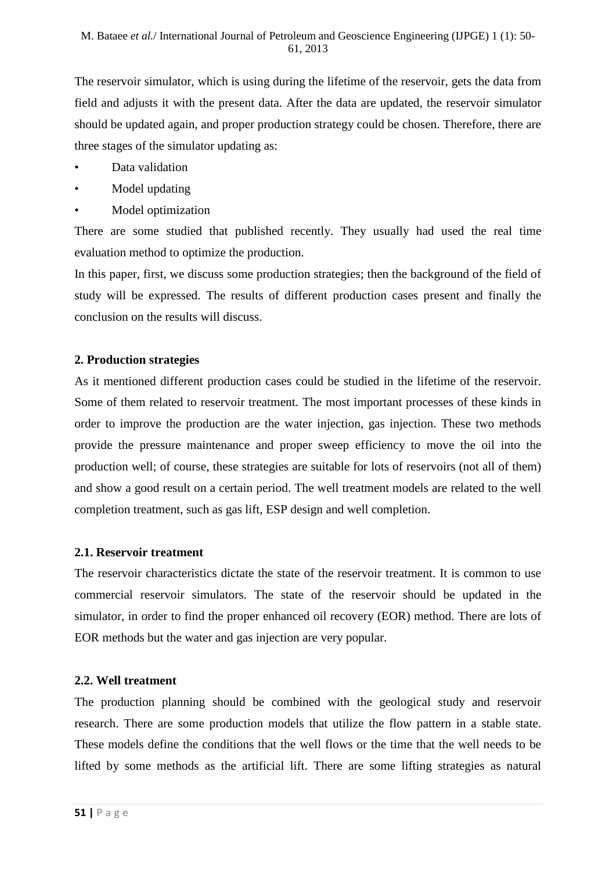The reservoir simulator, which is using during the lifetime of the reservoir, gets the data from field and adjusts it with the present data. After the data are updated, the reservoir simulator should be updated again, and proper production strategy could be chosen. Therefore, there are three stages of the simulator updating as:

- Data validation
- Model updating
- Model optimization

There are some studied that published recently. They usually had used the real time evaluation method to optimize the production.

In this paper, first, we discuss some production strategies; then the background of the field of study will be expressed. The results of different production cases present and finally the conclusion on the results will discuss.

# **2. Production strategies**

As it mentioned different production cases could be studied in the lifetime of the reservoir. Some of them related to reservoir treatment. The most important processes of these kinds in order to improve the production are the water injection, gas injection. These two methods provide the pressure maintenance and proper sweep efficiency to move the oil into the production well; of course, these strategies are suitable for lots of reservoirs (not all of them) and show a good result on a certain period. The well treatment models are related to the well completion treatment, such as gas lift, ESP design and well completion.

#### **2.1. Reservoir treatment**

The reservoir characteristics dictate the state of the reservoir treatment. It is common to use commercial reservoir simulators. The state of the reservoir should be updated in the simulator, in order to find the proper enhanced oil recovery (EOR) method. There are lots of EOR methods but the water and gas injection are very popular.

#### **2.2. Well treatment**

The production planning should be combined with the geological study and reservoir research. There are some production models that utilize the flow pattern in a stable state. These models define the conditions that the well flows or the time that the well needs to be lifted by some methods as the artificial lift. There are some lifting strategies as natural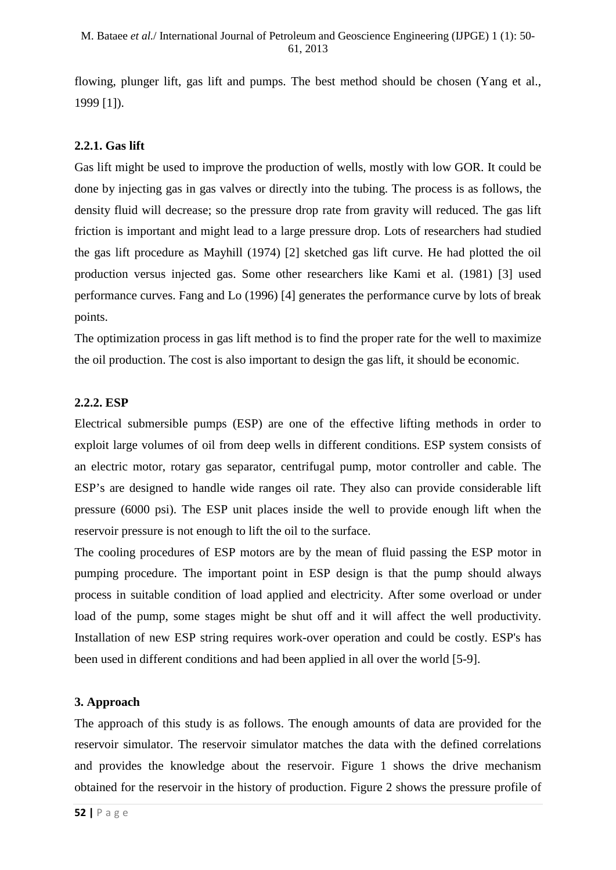flowing, plunger lift, gas lift and pumps. The best method should be chosen (Yang et al., 1999 [1]).

# **2.2.1. Gas lift**

Gas lift might be used to improve the production of wells, mostly with low GOR. It could be done by injecting gas in gas valves or directly into the tubing. The process is as follows, the density fluid will decrease; so the pressure drop rate from gravity will reduced. The gas lift friction is important and might lead to a large pressure drop. Lots of researchers had studied the gas lift procedure as Mayhill (1974) [2] sketched gas lift curve. He had plotted the oil production versus injected gas. Some other researchers like Kami et al. (1981) [3] used performance curves. Fang and Lo (1996) [4] generates the performance curve by lots of break points.

The optimization process in gas lift method is to find the proper rate for the well to maximize the oil production. The cost is also important to design the gas lift, it should be economic.

### **2.2.2. ESP**

Electrical submersible pumps (ESP) are one of the effective lifting methods in order to exploit large volumes of oil from deep wells in different conditions. ESP system consists of an electric motor, rotary gas separator, centrifugal pump, motor controller and cable. The ESP's are designed to handle wide ranges oil rate. They also can provide considerable lift pressure (6000 psi). The ESP unit places inside the well to provide enough lift when the reservoir pressure is not enough to lift the oil to the surface.

The cooling procedures of ESP motors are by the mean of fluid passing the ESP motor in pumping procedure. The important point in ESP design is that the pump should always process in suitable condition of load applied and electricity. After some overload or under load of the pump, some stages might be shut off and it will affect the well productivity. Installation of new ESP string requires work-over operation and could be costly. ESP's has been used in different conditions and had been applied in all over the world [5-9].

# **3. Approach**

The approach of this study is as follows. The enough amounts of data are provided for the reservoir simulator. The reservoir simulator matches the data with the defined correlations and provides the knowledge about the reservoir. Figure 1 shows the drive mechanism obtained for the reservoir in the history of production. Figure 2 shows the pressure profile of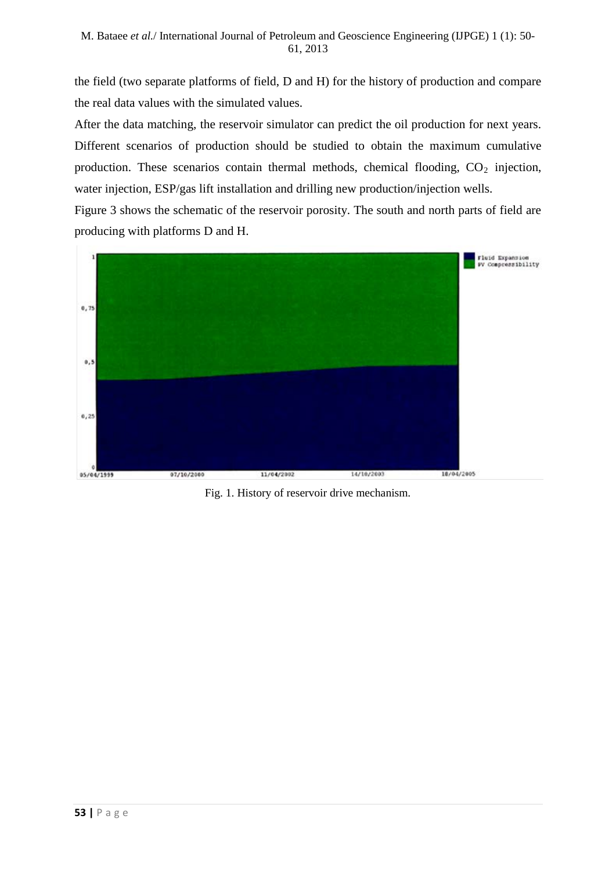the field (two separate platforms of field, D and H) for the history of production and compare the real data values with the simulated values.

After the data matching, the reservoir simulator can predict the oil production for next years. Different scenarios of production should be studied to obtain the maximum cumulative production. These scenarios contain thermal methods, chemical flooding,  $CO<sub>2</sub>$  injection, water injection, ESP/gas lift installation and drilling new production/injection wells.

Figure 3 shows the schematic of the reservoir porosity. The south and north parts of field are producing with platforms D and H.



Fig. 1. History of reservoir drive mechanism.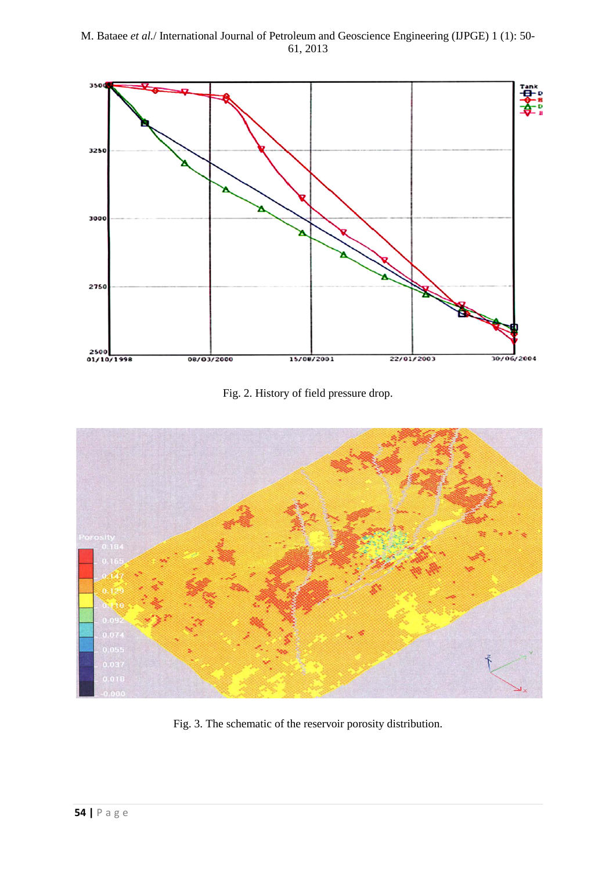

Fig. 2. History of field pressure drop.



Fig. 3. The schematic of the reservoir porosity distribution.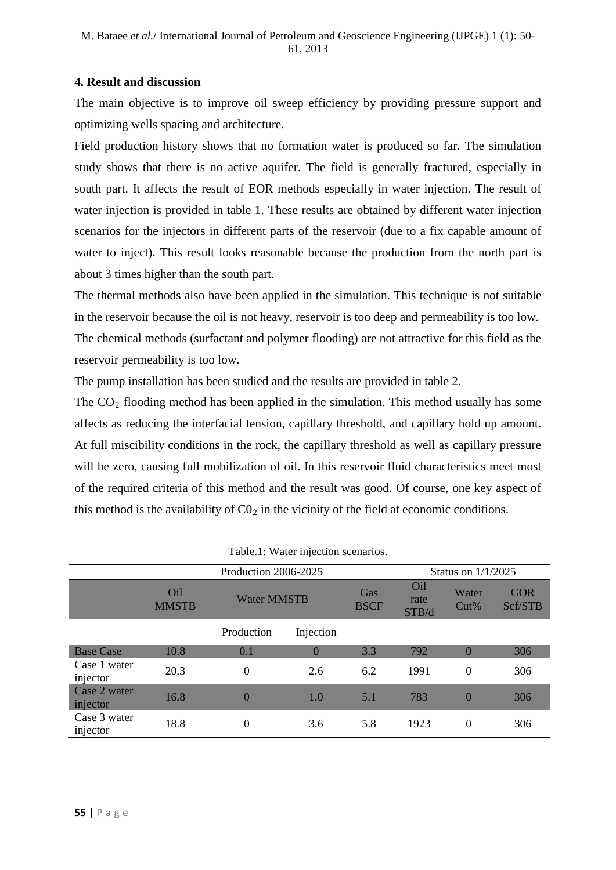## **4. Result and discussion**

The main objective is to improve oil sweep efficiency by providing pressure support and optimizing wells spacing and architecture.

Field production history shows that no formation water is produced so far. The simulation study shows that there is no active aquifer. The field is generally fractured, especially in south part. It affects the result of EOR methods especially in water injection. The result of water injection is provided in table 1. These results are obtained by different water injection scenarios for the injectors in different parts of the reservoir (due to a fix capable amount of water to inject). This result looks reasonable because the production from the north part is about 3 times higher than the south part.

The thermal methods also have been applied in the simulation. This technique is not suitable in the reservoir because the oil is not heavy, reservoir is too deep and permeability is too low. The chemical methods (surfactant and polymer flooding) are not attractive for this field as the reservoir permeability is too low.

The pump installation has been studied and the results are provided in table 2.

The  $CO<sub>2</sub>$  flooding method has been applied in the simulation. This method usually has some affects as reducing the interfacial tension, capillary threshold, and capillary hold up amount. At full miscibility conditions in the rock, the capillary threshold as well as capillary pressure will be zero, causing full mobilization of oil. In this reservoir fluid characteristics meet most of the required criteria of this method and the result was good. Of course, one key aspect of this method is the availability of  $CO<sub>2</sub>$  in the vicinity of the field at economic conditions.

| Production 2006-2025     |                                 |                    |           |                    |                      | Status on 1/1/2025 |                       |  |
|--------------------------|---------------------------------|--------------------|-----------|--------------------|----------------------|--------------------|-----------------------|--|
|                          | O <sub>il</sub><br><b>MMSTB</b> | <b>Water MMSTB</b> |           | Gas<br><b>BSCF</b> | Oil<br>rate<br>STB/d | Water<br>$Cut\%$   | <b>GOR</b><br>Scf/STB |  |
|                          |                                 | Production         | Injection |                    |                      |                    |                       |  |
| <b>Base Case</b>         | 10.8                            | 0.1                | $\bf{0}$  | 3.3                | 792                  | $\theta$           | 306                   |  |
| Case 1 water<br>injector | 20.3                            | $\theta$           | 2.6       | 6.2                | 1991                 | $\overline{0}$     | 306                   |  |
| Case 2 water<br>injector | 16.8                            | $\overline{0}$     | 1.0       | 5.1                | 783                  | $\overline{0}$     | 306                   |  |
| Case 3 water<br>injector | 18.8                            | $\overline{0}$     | 3.6       | 5.8                | 1923                 | $\theta$           | 306                   |  |

|  |  |  | Table.1: Water injection scenarios. |
|--|--|--|-------------------------------------|
|--|--|--|-------------------------------------|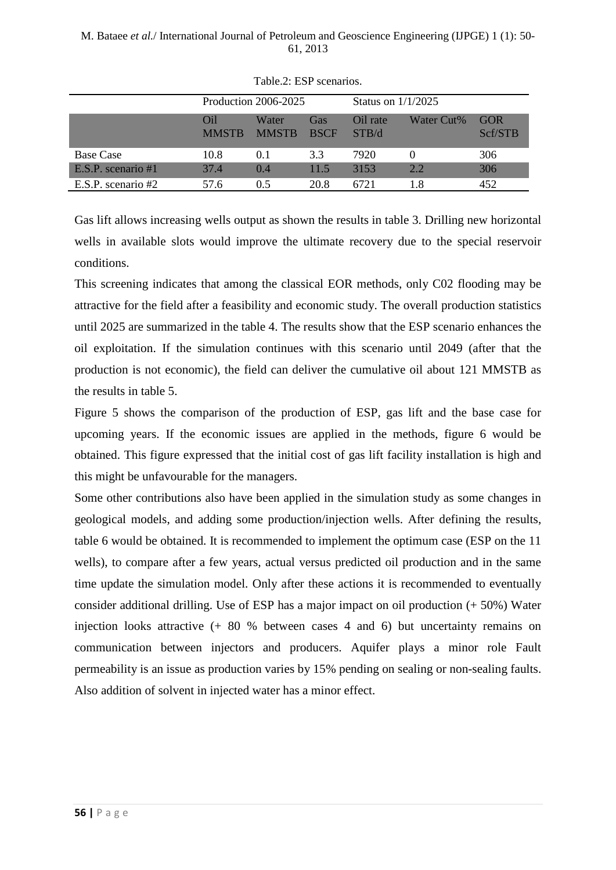|                      | Production 2006-2025 |                       |                    | Status on $1/1/2025$ |            |                 |
|----------------------|----------------------|-----------------------|--------------------|----------------------|------------|-----------------|
|                      | Oil<br><b>MMSTR</b>  | Water<br><b>MMSTR</b> | Gas<br><b>BSCF</b> | Oil rate<br>STB/d    | Water Cut% | GOR.<br>Scf/STB |
| <b>Base Case</b>     | 10.8                 | 0.1                   | 3.3                | 7920                 | $\theta$   | 306             |
| E.S.P. scenario #1   | 37.4                 | (0.4)                 | 11.5               | 3153                 | 2.2.       | 306             |
| E.S.P. scenario $#2$ | 57.6                 | 05                    | 20.8               | 6721                 | 18         | 452             |

Table.2: ESP scenarios.

Gas lift allows increasing wells output as shown the results in table 3. Drilling new horizontal wells in available slots would improve the ultimate recovery due to the special reservoir conditions.

This screening indicates that among the classical EOR methods, only C02 flooding may be attractive for the field after a feasibility and economic study. The overall production statistics until 2025 are summarized in the table 4. The results show that the ESP scenario enhances the oil exploitation. If the simulation continues with this scenario until 2049 (after that the production is not economic), the field can deliver the cumulative oil about 121 MMSTB as the results in table 5.

Figure 5 shows the comparison of the production of ESP, gas lift and the base case for upcoming years. If the economic issues are applied in the methods, figure 6 would be obtained. This figure expressed that the initial cost of gas lift facility installation is high and this might be unfavourable for the managers.

Some other contributions also have been applied in the simulation study as some changes in geological models, and adding some production/injection wells. After defining the results, table 6 would be obtained. It is recommended to implement the optimum case (ESP on the 11 wells), to compare after a few years, actual versus predicted oil production and in the same time update the simulation model. Only after these actions it is recommended to eventually consider additional drilling. Use of ESP has a major impact on oil production (+ 50%) Water injection looks attractive (+ 80 % between cases 4 and 6) but uncertainty remains on communication between injectors and producers. Aquifer plays a minor role Fault permeability is an issue as production varies by 15% pending on sealing or non-sealing faults. Also addition of solvent in injected water has a minor effect.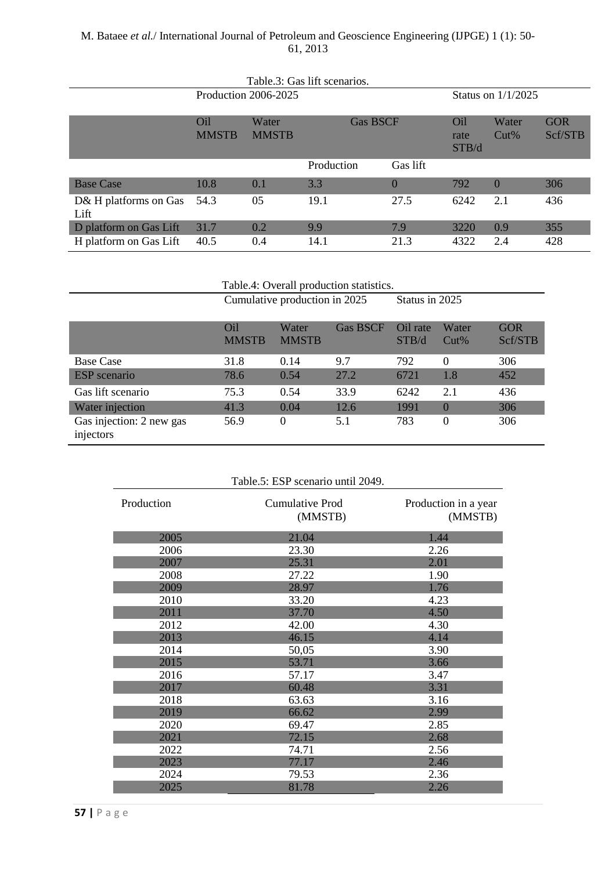| Table.3: Gas lift scenarios.  |                                 |                       |                 |          |                      |                  |                       |
|-------------------------------|---------------------------------|-----------------------|-----------------|----------|----------------------|------------------|-----------------------|
| Production 2006-2025          |                                 |                       |                 |          | Status on $1/1/2025$ |                  |                       |
|                               | O <sub>il</sub><br><b>MMSTB</b> | Water<br><b>MMSTB</b> | <b>Gas BSCF</b> |          | Oil<br>rate<br>STB/d | Water<br>$Cut\%$ | <b>GOR</b><br>Scf/STB |
|                               |                                 |                       | Production      | Gas lift |                      |                  |                       |
| <b>Base Case</b>              | 10.8                            | 0.1                   | 3.3             | $\theta$ | 792                  | $\Omega$         | 306                   |
| D& H platforms on Gas<br>Lift | 54.3                            | 05                    | 19.1            | 27.5     | 6242                 | 2.1              | 436                   |
| D platform on Gas Lift        | 31.7                            | 0.2                   | 9.9             | 7.9      | 3220                 | 0.9              | 355                   |
| H platform on Gas Lift        | 40.5                            | 0.4                   | 14.1            | 21.3     | 4322                 | 2.4              | 428                   |

Table.4: Overall production statistics.

|                                       | Cumulative production in 2025 |                       |                 | Status in 2025    |                  |                       |
|---------------------------------------|-------------------------------|-----------------------|-----------------|-------------------|------------------|-----------------------|
|                                       | Oil<br><b>MMSTB</b>           | Water<br><b>MMSTB</b> | <b>Gas BSCF</b> | Oil rate<br>STB/d | Water<br>$Cut\%$ | <b>GOR</b><br>Scf/STB |
| <b>Base Case</b>                      | 31.8                          | 0.14                  | 9.7             | 792               | $\Omega$         | 306                   |
| <b>ESP</b> scenario                   | 78.6                          | 0.54                  | 27.2            | 6721              | 1.8              | 452                   |
| Gas lift scenario                     | 75.3                          | 0.54                  | 33.9            | 6242              | 2.1              | 436                   |
| Water injection                       | 41.3                          | 0.04                  | 12.6            | 1991              | $\Omega$         | 306                   |
| Gas injection: 2 new gas<br>injectors | 56.9                          | $\Omega$              | 5.1             | 783               | $\Omega$         | 306                   |

| Table.5: ESP scenario until 2049. |                            |                                 |  |  |  |
|-----------------------------------|----------------------------|---------------------------------|--|--|--|
| Production                        | Cumulative Prod<br>(MMSTB) | Production in a year<br>(MMSTB) |  |  |  |
| 2005                              | 21.04                      | 1.44                            |  |  |  |
| 2006                              | 23.30                      | 2.26                            |  |  |  |
| 2007                              | 25.31                      | 2.01                            |  |  |  |
| 2008                              | 27.22                      | 1.90                            |  |  |  |
| 2009                              | 28.97                      | 1.76                            |  |  |  |
| 2010                              | 33.20                      | 4.23                            |  |  |  |
| 2011                              | 37.70                      | 4.50                            |  |  |  |
| 2012                              | 42.00                      | 4.30                            |  |  |  |
| 2013                              | 46.15                      | 4.14                            |  |  |  |
| 2014                              | 50,05                      | 3.90                            |  |  |  |
| 2015                              | 53.71                      | 3.66                            |  |  |  |
| 2016                              | 57.17                      | 3.47                            |  |  |  |
| 2017                              | 60.48                      | 3.31                            |  |  |  |
| 2018                              | 63.63                      | 3.16                            |  |  |  |
| 2019                              | 66.62                      | 2.99                            |  |  |  |
| 2020                              | 69.47                      | 2.85                            |  |  |  |
| 2021                              | 72.15                      | 2.68                            |  |  |  |
| 2022                              | 74.71                      | 2.56                            |  |  |  |
| 2023                              | 77.17                      | 2.46                            |  |  |  |
| 2024                              | 79.53                      | 2.36                            |  |  |  |
| 2025                              | 81.78                      | 2.26                            |  |  |  |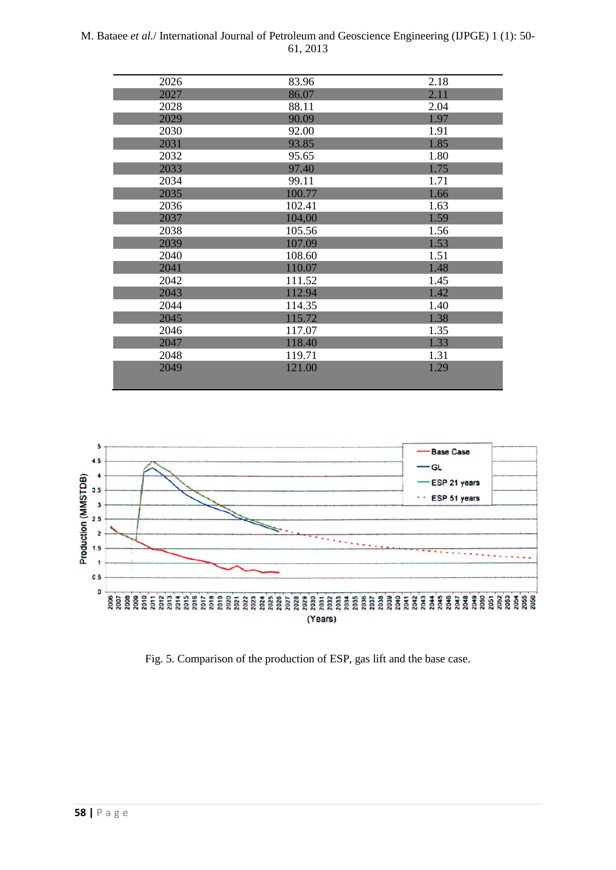| 2026 | 83.96  | 2.18 |
|------|--------|------|
| 2027 | 86.07  | 2.11 |
| 2028 | 88.11  | 2.04 |
| 2029 | 90.09  | 1.97 |
| 2030 | 92.00  | 1.91 |
| 2031 | 93.85  | 1.85 |
| 2032 | 95.65  | 1.80 |
| 2033 | 97.40  | 1.75 |
| 2034 | 99.11  | 1.71 |
| 2035 | 100.77 | 1.66 |
| 2036 | 102.41 | 1.63 |
| 2037 | 104,00 | 1.59 |
| 2038 | 105.56 | 1.56 |
| 2039 | 107.09 | 1.53 |
| 2040 | 108.60 | 1.51 |
| 2041 | 110.07 | 1.48 |
| 2042 | 111.52 | 1.45 |
| 2043 | 112.94 | 1.42 |
| 2044 | 114.35 | 1.40 |
| 2045 | 115.72 | 1.38 |
| 2046 | 117.07 | 1.35 |
| 2047 | 118.40 | 1.33 |
| 2048 | 119.71 | 1.31 |
| 2049 | 121.00 | 1.29 |
|      |        |      |



Fig. 5. Comparison of the production of ESP, gas lift and the base case.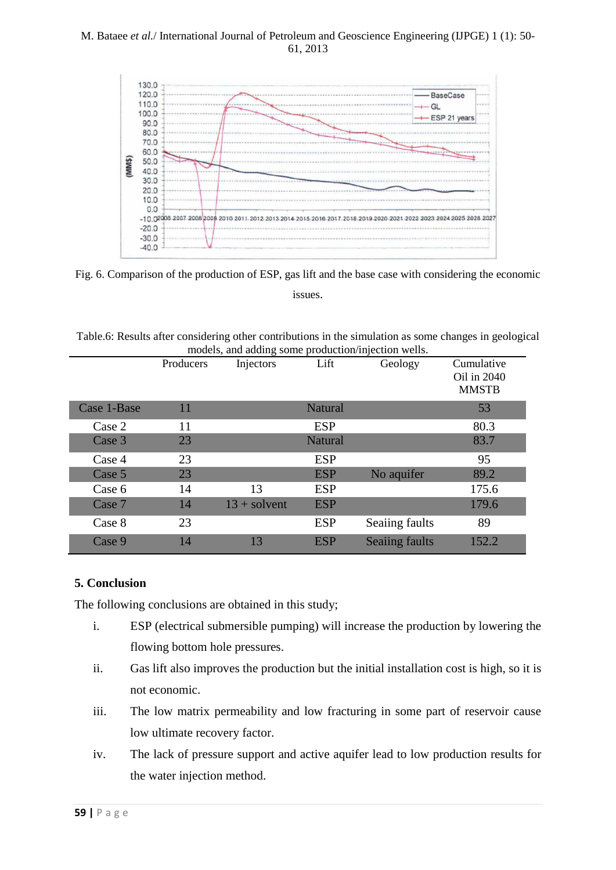

Fig. 6. Comparison of the production of ESP, gas lift and the base case with considering the economic issues.

| Table.6: Results after considering other contributions in the simulation as some changes in geological |  |
|--------------------------------------------------------------------------------------------------------|--|
| models, and adding some production/injection wells.                                                    |  |

|             | Producers | Injectors      | Lift           | Geology               | Cumulative<br>Oil in 2040<br><b>MMSTB</b> |
|-------------|-----------|----------------|----------------|-----------------------|-------------------------------------------|
| Case 1-Base | 11        |                | <b>Natural</b> |                       | 53                                        |
| Case 2      | 11        |                | <b>ESP</b>     |                       | 80.3                                      |
| Case 3      | 23        |                | <b>Natural</b> |                       | 83.7                                      |
| Case 4      | 23        |                | <b>ESP</b>     |                       | 95                                        |
| Case 5      | 23        |                | <b>ESP</b>     | No aquifer            | 89.2                                      |
| Case 6      | 14        | 13             | <b>ESP</b>     |                       | 175.6                                     |
| Case 7      | 14        | $13 +$ solvent | <b>ESP</b>     |                       | 179.6                                     |
| Case 8      | 23        |                | <b>ESP</b>     | Seaiing faults        | 89                                        |
| Case 9      | 14        | 13             | <b>ESP</b>     | <b>Seaiing faults</b> | 152.2                                     |

# **5. Conclusion**

The following conclusions are obtained in this study;

- i. ESP (electrical submersible pumping) will increase the production by lowering the flowing bottom hole pressures.
- ii. Gas lift also improves the production but the initial installation cost is high, so it is not economic.
- iii. The low matrix permeability and low fracturing in some part of reservoir cause low ultimate recovery factor.
- iv. The lack of pressure support and active aquifer lead to low production results for the water injection method.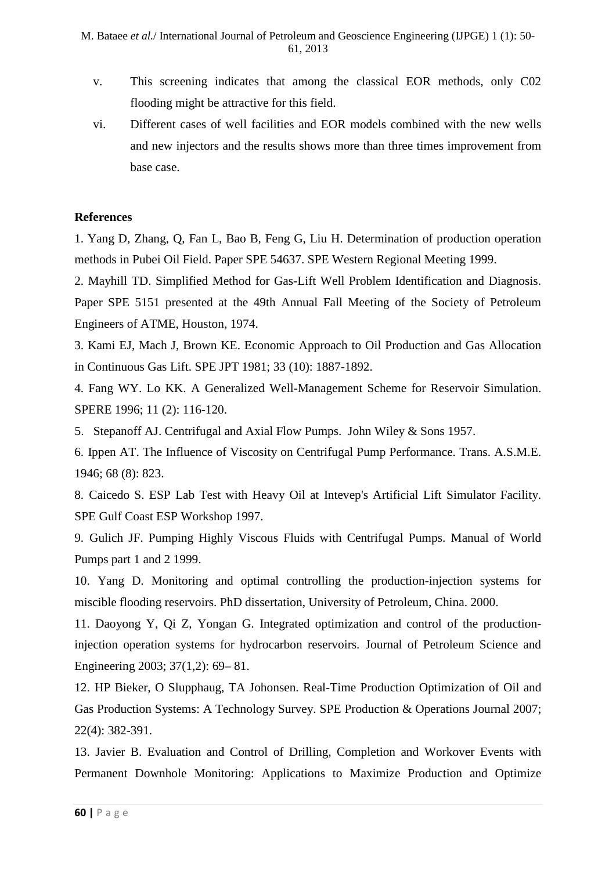- v. This screening indicates that among the classical EOR methods, only C02 flooding might be attractive for this field.
- vi. Different cases of well facilities and EOR models combined with the new wells and new injectors and the results shows more than three times improvement from base case.

### **References**

1. Yang D, Zhang, Q, Fan L, Bao B, Feng G, Liu H. Determination of production operation methods in Pubei Oil Field. Paper SPE 54637. SPE Western Regional Meeting 1999.

2. Mayhill TD. Simplified Method for Gas-Lift Well Problem Identification and Diagnosis. Paper SPE 5151 presented at the 49th Annual Fall Meeting of the Society of Petroleum Engineers of ATME, Houston, 1974.

3. Kami EJ, Mach J, Brown KE. Economic Approach to Oil Production and Gas Allocation in Continuous Gas Lift. SPE JPT 1981; 33 (10): 1887-1892.

4. Fang WY. Lo KK. A Generalized Well-Management Scheme for Reservoir Simulation. SPERE 1996; 11 (2): 116-120.

5. Stepanoff AJ. Centrifugal and Axial Flow Pumps. John Wiley & Sons 1957.

6. Ippen AT. The Influence of Viscosity on Centrifugal Pump Performance. Trans. A.S.M.E. 1946; 68 (8): 823.

8. Caicedo S. ESP Lab Test with Heavy Oil at Intevep's Artificial Lift Simulator Facility. SPE Gulf Coast ESP Workshop 1997.

9. Gulich JF. Pumping Highly Viscous Fluids with Centrifugal Pumps. Manual of World Pumps part 1 and 2 1999.

10. Yang D. Monitoring and optimal controlling the production-injection systems for miscible flooding reservoirs. PhD dissertation, University of Petroleum, China. 2000.

11. Daoyong Y, Qi Z, Yongan G. Integrated optimization and control of the productioninjection operation systems for hydrocarbon reservoirs. Journal of Petroleum Science and Engineering 2003; 37(1,2): 69– 81.

12. HP Bieker, O Slupphaug, TA Johonsen. Real-Time Production Optimization of Oil and Gas Production Systems: A Technology Survey. SPE Production & Operations Journal 2007; 22(4): 382-391.

13. Javier B. Evaluation and Control of Drilling, Completion and Workover Events with Permanent Downhole Monitoring: Applications to Maximize Production and Optimize